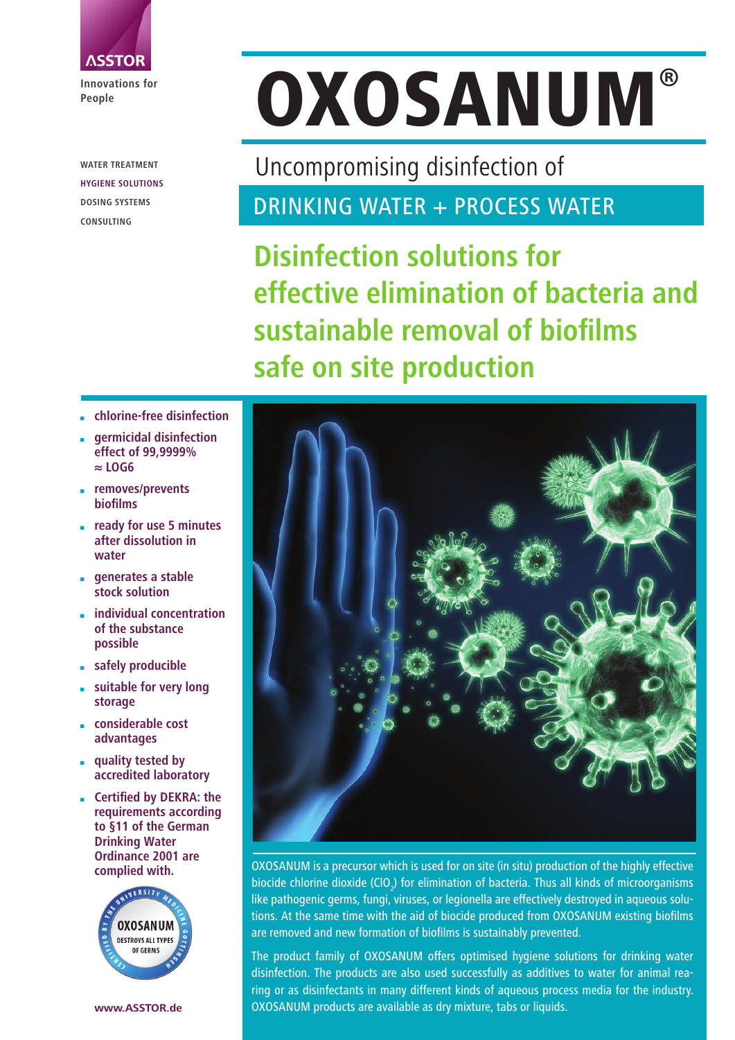

**Innovations for People**

**WATER TREATMENT HYGIENE SOLUTIONS DOSING SYSTEMS CONSULTING**

# OXOSANUM**®**

Uncompromising disinfection of

DRINKING WATER + PROCESS WATER

**Disinfection solutions for effective elimination of bacteria and sustainable removal of biofi lms safe on site production**

- **chlorine-free disinfection**
- **germicidal disinfection effect of 99,9999% ≈ LOG6**
- **removes/prevents biofilms**
- **ready for use 5 minutes after dissolution in water**
- **generates a stable stock solution**
- **individual concentration of the substance possible**
- **safely producible**
- **suitable for very long storage**
- **considerable cost advantages**
- **quality tested by accredited laboratory**
- **Certified by DEKRA: the requirements according to §11 of the German Drinking Water Ordinance 2001 are**





**OXOSANUM is a precursor which is used for on site (in situ) production of the highly effective** biocide chlorine dioxide (CIO<sub>2</sub>) for elimination of bacteria. Thus all kinds of microorganisms like pathogenic germs, fungi, viruses, or legionella are effectively destroyed in aqueous solutions. At the same time with the aid of biocide produced from OXOSANUM existing biofilms are removed and new formation of biofilms is sustainably prevented.

The product family of OXOSANUM offers optimised hygiene solutions for drinking water disinfection. The products are also used successfully as additives to water for animal rearing or as disinfectants in many different kinds of aqueous process media for the industry. OXOSANUM products are available as dry mixture, tabs or liquids.